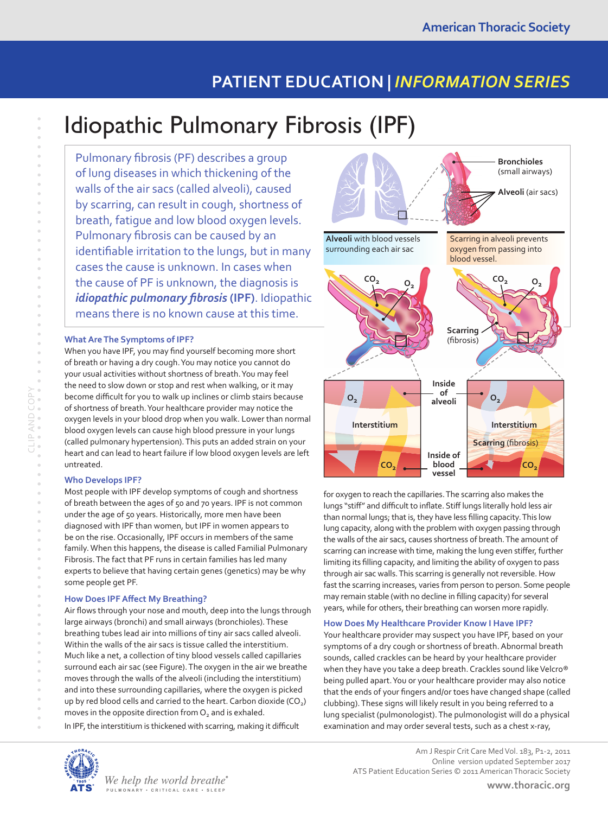## **PATIENT EDUCATION |** *INFORMATION SERIES*

# Idiopathic Pulmonary Fibrosis (IPF)

Pulmonary fibrosis (PF) describes a group of lung diseases in which thickening of the walls of the air sacs (called alveoli), caused by scarring, can result in cough, shortness of breath, fatigue and low blood oxygen levels. Pulmonary fibrosis can be caused by an identifiable irritation to the lungs, but in many cases the cause is unknown. In cases when the cause of PF is unknown, the diagnosis is *idiopathic pulmonary fibrosis* **(IPF)**. Idiopathic means there is no known cause at this time.

#### **What Are The Symptoms of IPF?**

When you have IPF, you may find yourself becoming more short of breath or having a dry cough. You may notice you cannot do your usual activities without shortness of breath. You may feel the need to slow down or stop and rest when walking, or it may become difficult for you to walk up inclines or climb stairs because of shortness of breath. Your healthcare provider may notice the oxygen levels in your blood drop when you walk. Lower than normal blood oxygen levels can cause high blood pressure in your lungs (called pulmonary hypertension). This puts an added strain on your heart and can lead to heart failure if low blood oxygen levels are left untreated.

#### **Who Develops IPF?**

Most people with IPF develop symptoms of cough and shortness of breath between the ages of 50 and 70 years. IPF is not common under the age of 50 years. Historically, more men have been diagnosed with IPF than women, but IPF in women appears to be on the rise. Occasionally, IPF occurs in members of the same family. When this happens, the disease is called Familial Pulmonary Fibrosis. The fact that PF runs in certain families has led many experts to believe that having certain genes (genetics) may be why some people get PF.

#### **How Does IPF Affect My Breathing?**

Air flows through your nose and mouth, deep into the lungs through large airways (bronchi) and small airways (bronchioles). These breathing tubes lead air into millions of tiny air sacs called alveoli. Within the walls of the air sacs is tissue called the interstitium. Much like a net, a collection of tiny blood vessels called capillaries surround each air sac (see Figure). The oxygen in the air we breathe moves through the walls of the alveoli (including the interstitium) and into these surrounding capillaries, where the oxygen is picked up by red blood cells and carried to the heart. Carbon dioxide  $(CO<sub>2</sub>)$ moves in the opposite direction from  $O<sub>2</sub>$  and is exhaled.

In IPF, the interstitium is thickened with scarring, making it difficult



for oxygen to reach the capillaries. The scarring also makes the lungs "stiff" and difficult to inflate. Stiff lungs literally hold less air than normal lungs; that is, they have less filling capacity. This low lung capacity, along with the problem with oxygen passing through the walls of the air sacs, causes shortness of breath. The amount of scarring can increase with time, making the lung even stiffer, further limiting its filling capacity, and limiting the ability of oxygen to pass through air sac walls. This scarring is generally not reversible. How fast the scarring increases, varies from person to person. Some people may remain stable (with no decline in filling capacity) for several years, while for others, their breathing can worsen more rapidly.

#### **How Does My Healthcare Provider Know I Have IPF?**

Your healthcare provider may suspect you have IPF, based on your symptoms of a dry cough or shortness of breath. Abnormal breath sounds, called crackles can be heard by your healthcare provider when they have you take a deep breath. Crackles sound like Velcro® being pulled apart. You or your healthcare provider may also notice that the ends of your fingers and/or toes have changed shape (called clubbing). These signs will likely result in you being referred to a lung specialist (pulmonologist). The pulmonologist will do a physical examination and may order several tests, such as a chest x-ray,